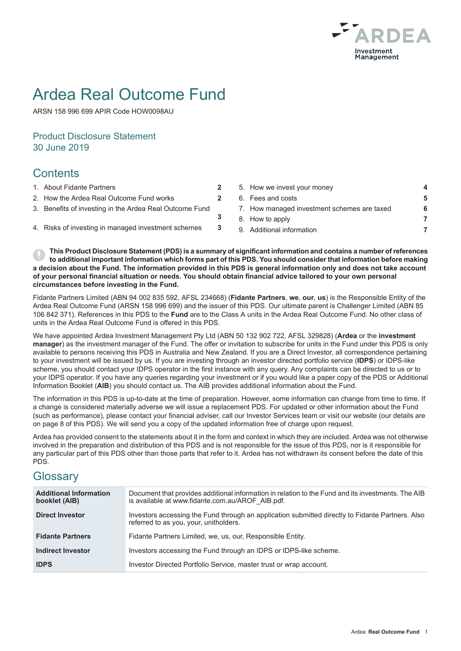

# Ardea Real Outcome Fund

ARSN 158 996 699 APIR Code HOW0098AU

## Product Disclosure Statement 30 June 2019

# **Contents**

- 
- 
- 3. Benefits of investing in the Ardea Real Outcome Fund
- 
- 1. About Fidante Partners **2** 5. How we invest your money **4** 2. How the Ardea Real Outcome Fund works **2** 6. Fees and costs **5** 7. How managed investment schemes are taxed **6** 8. How to apply **7** 4. Risks of investing in managed investment schemes **3** 9. Additional information **7**

This Product Disclosure Statement (PDS) is a summary of significant information and contains a number of references to additional important information which forms part of this PDS. You should consider that information before making a decision about the Fund. The information provided in this PDS is general information only and does not take account of your personal financial situation or needs. You should obtain financial advice tailored to your own personal **circumstances before investing in the Fund.**

**3**

Fidante Partners Limited (ABN 94 002 835 592, AFSL 234668) (**Fidante Partners**, **we**, **our**, **us**) is the Responsible Entity of the Ardea Real Outcome Fund (ARSN 158 996 699) and the issuer of this PDS. Our ultimate parent is Challenger Limited (ABN 85 106 842 371). References in this PDS to the **Fund** are to the Class A units in the Ardea Real Outcome Fund. No other class of units in the Ardea Real Outcome Fund is offered in this PDS.

We have appointed Ardea Investment Management Pty Ltd (ABN 50 132 902 722, AFSL 329828) (**Ardea** or the **investment manager**) as the investment manager of the Fund. The offer or invitation to subscribe for units in the Fund under this PDS is only available to persons receiving this PDS in Australia and New Zealand. If you are a Direct Investor, all correspondence pertaining to your investment will be issued by us. If you are investing through an investor directed portfolio service (**IDPS**) or IDPS-like scheme, you should contact your IDPS operator in the first instance with any query. Any complaints can be directed to us or to your IDPS operator. If you have any queries regarding your investment or if you would like a paper copy of the PDS or Additional Information Booklet (**AIB**) you should contact us. The AIB provides additional information about the Fund.

The information in this PDS is up-to-date at the time of preparation. However, some information can change from time to time. If a change is considered materially adverse we will issue a replacement PDS. For updated or other information about the Fund (such as performance), please contact your financial adviser, call our Investor Services team or visit our website (our details are on page 8 of this PDS). We will send you a copy of the updated information free of charge upon request.

Ardea has provided consent to the statements about it in the form and context in which they are included. Ardea was not otherwise involved in the preparation and distribution of this PDS and is not responsible for the issue of this PDS, nor is it responsible for any particular part of this PDS other than those parts that refer to it. Ardea has not withdrawn its consent before the date of this PDS.

# **Glossarv**

| <b>Additional Information</b><br>booklet (AIB) | Document that provides additional information in relation to the Fund and its investments. The AIB<br>is available at www.fidante.com.au/AROF AIB.pdf. |
|------------------------------------------------|--------------------------------------------------------------------------------------------------------------------------------------------------------|
| <b>Direct Investor</b>                         | Investors accessing the Fund through an application submitted directly to Fidante Partners. Also<br>referred to as you, your, unitholders.             |
| <b>Fidante Partners</b>                        | Fidante Partners Limited, we, us, our, Responsible Entity.                                                                                             |
| <b>Indirect Investor</b>                       | Investors accessing the Fund through an IDPS or IDPS-like scheme.                                                                                      |
| <b>IDPS</b>                                    | Investor Directed Portfolio Service, master trust or wrap account.                                                                                     |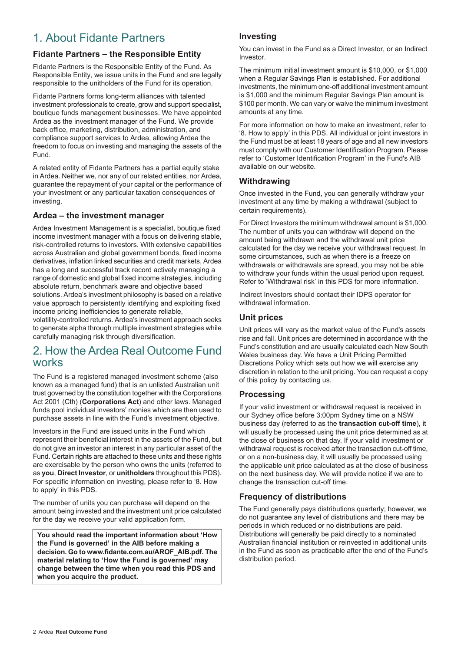# 1. About Fidante Partners

### **Fidante Partners – the Responsible Entity**

Fidante Partners is the Responsible Entity of the Fund. As Responsible Entity, we issue units in the Fund and are legally responsible to the unitholders of the Fund for its operation.

Fidante Partners forms long-term alliances with talented investment professionals to create, grow and support specialist, boutique funds management businesses. We have appointed Ardea as the investment manager of the Fund. We provide back office, marketing, distribution, administration, and compliance support services to Ardea, allowing Ardea the freedom to focus on investing and managing the assets of the Fund.

A related entity of Fidante Partners has a partial equity stake in Ardea. Neither we, nor any of our related entities, nor Ardea, guarantee the repayment of your capital or the performance of your investment or any particular taxation consequences of investing.

### **Ardea – the investment manager**

Ardea Investment Management is a specialist, boutique fixed income investment manager with a focus on delivering stable, risk-controlled returns to investors. With extensive capabilities across Australian and global government bonds, fixed income derivatives, inflation linked securities and credit markets, Ardea has a long and successful track record actively managing a range of domestic and global fixed income strategies, including absolute return, benchmark aware and objective based solutions. Ardea's investment philosophy is based on a relative value approach to persistently identifying and exploiting fixed income pricing inefficiencies to generate reliable,

volatility-controlled returns. Ardea's investment approach seeks to generate alpha through multiple investment strategies while carefully managing risk through diversification.

# 2. How the Ardea Real Outcome Fund works

The Fund is a registered managed investment scheme (also known as a managed fund) that is an unlisted Australian unit trust governed by the constitution together with the Corporations Act 2001 (Cth) (**Corporations Act**) and other laws. Managed funds pool individual investors' monies which are then used to purchase assets in line with the Fund's investment objective.

Investors in the Fund are issued units in the Fund which represent their beneficial interest in the assets of the Fund, but do not give an investor an interest in any particular asset of the Fund. Certain rights are attached to these units and these rights are exercisable by the person who owns the units (referred to as **you**, **Direct Investor**, or **unitholders** throughout this PDS). For specific information on investing, please refer to '8. How to apply' in this PDS.

The number of units you can purchase will depend on the amount being invested and the investment unit price calculated for the day we receive your valid application form.

**You should read the important information about 'How the Fund is governed' in the AIB before making a decision. Go to www.fidante.com.au/AROF\_AIB.pdf. The material relating to 'How the Fund is governed' may change between the time when you read this PDS and when you acquire the product.**

### **Investing**

You can invest in the Fund as a Direct Investor, or an Indirect Investor.

The minimum initial investment amount is \$10,000, or \$1,000 when a Regular Savings Plan is established. For additional investments, the minimum one-off additional investment amount is \$1,000 and the minimum Regular Savings Plan amount is \$100 per month. We can vary or waive the minimum investment amounts at any time.

For more information on how to make an investment, refer to '8. How to apply' in this PDS. All individual or joint investors in the Fund must be at least 18 years of age and all new investors must comply with our Customer Identification Program. Please refer to 'Customer Identification Program' in the Fund's AIB available on our website.

### **Withdrawing**

Once invested in the Fund, you can generally withdraw your investment at any time by making a withdrawal (subject to certain requirements).

For Direct Investors the minimum withdrawal amount is \$1,000. The number of units you can withdraw will depend on the amount being withdrawn and the withdrawal unit price calculated for the day we receive your withdrawal request. In some circumstances, such as when there is a freeze on withdrawals or withdrawals are spread, you may not be able to withdraw your funds within the usual period upon request. Refer to 'Withdrawal risk' in this PDS for more information.

Indirect Investors should contact their IDPS operator for withdrawal information.

### **Unit prices**

Unit prices will vary as the market value of the Fund's assets rise and fall. Unit prices are determined in accordance with the Fund's constitution and are usually calculated each New South Wales business day. We have a Unit Pricing Permitted Discretions Policy which sets out how we will exercise any discretion in relation to the unit pricing. You can request a copy of this policy by contacting us.

### **Processing**

If your valid investment or withdrawal request is received in our Sydney office before 3:00pm Sydney time on a NSW business day (referred to as the **transaction cut-off time**), it will usually be processed using the unit price determined as at the close of business on that day. If your valid investment or withdrawal request is received after the transaction cut-off time. or on a non-business day, it will usually be processed using the applicable unit price calculated as at the close of business on the next business day. We will provide notice if we are to change the transaction cut-off time.

### **Frequency of distributions**

The Fund generally pays distributions quarterly; however, we do not guarantee any level of distributions and there may be periods in which reduced or no distributions are paid. Distributions will generally be paid directly to a nominated Australian financial institution or reinvested in additional units in the Fund as soon as practicable after the end of the Fund's distribution period.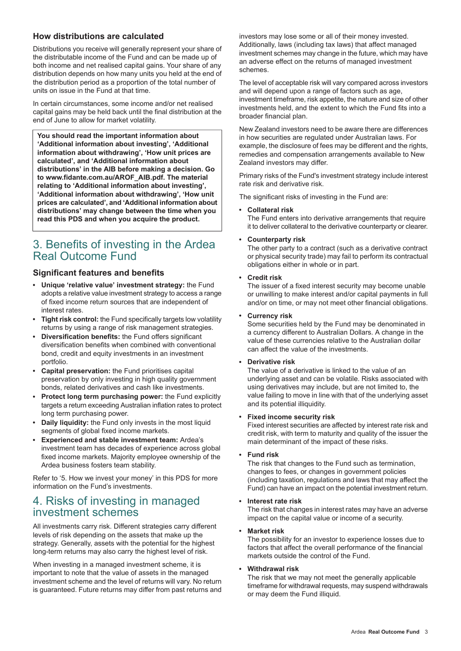### **How distributions are calculated**

Distributions you receive will generally represent your share of the distributable income of the Fund and can be made up of both income and net realised capital gains. Your share of any distribution depends on how many units you held at the end of the distribution period as a proportion of the total number of units on issue in the Fund at that time.

In certain circumstances, some income and/or net realised capital gains may be held back until the final distribution at the end of June to allow for market volatility.

**You should read the important information about 'Additional information about investing', 'Additional information about withdrawing', 'How unit prices are calculated', and 'Additional information about distributions' in the AIB before making a decision. Go to www.fidante.com.au/AROF\_AIB.pdf. The material relating to 'Additional information about investing', 'Additional information about withdrawing', 'How unit prices are calculated', and 'Additional information about distributions' may change between the time when you read this PDS and when you acquire the product.**

# 3. Benefits of investing in the Ardea Real Outcome Fund

### **Significant features and benefits**

- **Unique 'relative value' investment strategy:** the Fund adopts a relative value investment strategy to access a range of fixed income return sources that are independent of interest rates.
- **Tight risk control:** the Fund specifically targets low volatility returns by using a range of risk management strategies.
- **Diversification benefits:** the Fund offers significant diversification benefits when combined with conventional bond, credit and equity investments in an investment portfolio.
- **Capital preservation:** the Fund prioritises capital preservation by only investing in high quality government bonds, related derivatives and cash like investments.
- **Protect long term purchasing power:** the Fund explicitly targets a return exceeding Australian inflation rates to protect long term purchasing power.
- **Daily liquidity:** the Fund only invests in the most liquid segments of global fixed income markets.
- **Experienced and stable investment team:** Ardea's investment team has decades of experience across global fixed income markets. Majority employee ownership of the Ardea business fosters team stability.

Refer to '5. How we invest your money' in this PDS for more information on the Fund's investments.

# 4. Risks of investing in managed investment schemes

All investments carry risk. Different strategies carry different levels of risk depending on the assets that make up the strategy. Generally, assets with the potential for the highest long-term returns may also carry the highest level of risk.

When investing in a managed investment scheme, it is important to note that the value of assets in the managed investment scheme and the level of returns will vary. No return is guaranteed. Future returns may differ from past returns and investors may lose some or all of their money invested. Additionally, laws (including tax laws) that affect managed investment schemes may change in the future, which may have an adverse effect on the returns of managed investment schemes.

The level of acceptable risk will vary compared across investors and will depend upon a range of factors such as age, investment timeframe, risk appetite, the nature and size of other investments held, and the extent to which the Fund fits into a broader financial plan.

New Zealand investors need to be aware there are differences in how securities are regulated under Australian laws. For example, the disclosure of fees may be different and the rights, remedies and compensation arrangements available to New Zealand investors may differ.

Primary risks of the Fund's investment strategy include interest rate risk and derivative risk.

The significant risks of investing in the Fund are:

**Collateral risk**

The Fund enters into derivative arrangements that require it to deliver collateral to the derivative counterparty or clearer.

### **Counterparty risk**

The other party to a contract (such as a derivative contract or physical security trade) may fail to perform its contractual obligations either in whole or in part.

### **Credit risk**

The issuer of a fixed interest security may become unable or unwilling to make interest and/or capital payments in full and/or on time, or may not meet other financial obligations.

#### **Currency risk**

Some securities held by the Fund may be denominated in a currency different to Australian Dollars. A change in the value of these currencies relative to the Australian dollar can affect the value of the investments.

### **Derivative risk**

The value of a derivative is linked to the value of an underlying asset and can be volatile. Risks associated with using derivatives may include, but are not limited to, the value failing to move in line with that of the underlying asset and its potential illiquidity.

### **Fixed income security risk**

Fixed interest securities are affected by interest rate risk and credit risk, with term to maturity and quality of the issuer the main determinant of the impact of these risks.

#### **Fund risk**

The risk that changes to the Fund such as termination, changes to fees, or changes in government policies (including taxation, regulations and laws that may affect the Fund) can have an impact on the potential investment return.

### **Interest rate risk**

The risk that changes in interest rates may have an adverse impact on the capital value or income of a security.

### **Market risk**

The possibility for an investor to experience losses due to factors that affect the overall performance of the financial markets outside the control of the Fund.

### **Withdrawal risk**

The risk that we may not meet the generally applicable timeframe for withdrawal requests, may suspend withdrawals or may deem the Fund illiquid.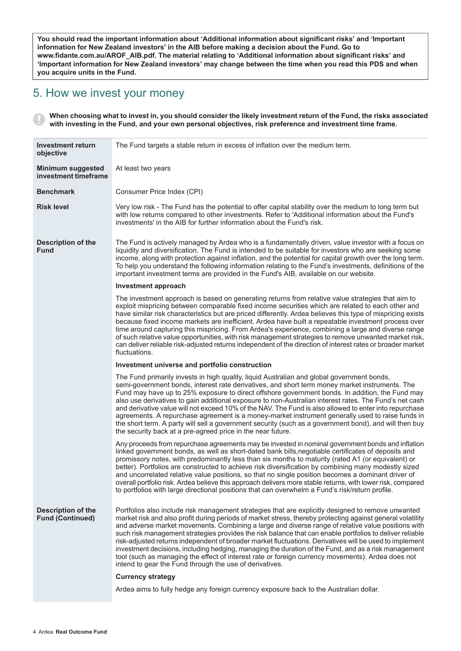**You should read the important information about 'Additional information about significant risks' and 'Important information for New Zealand investors' in the AIB before making a decision about the Fund. Go to www.fidante.com.au/AROF\_AIB.pdf. The material relating to 'Additional information about significant risks' and** 'Important information for New Zealand investors' may change between the time when you read this PDS and when **you acquire units in the Fund.**

# 5. How we invest your money

When choosing what to invest in, you should consider the likely investment return of the Fund, the risks associated **with investing in the Fund, and your own personal objectives, risk preference and investment time frame.**

| <b>Investment return</b><br>objective                | The Fund targets a stable return in excess of inflation over the medium term.                                                                                                                                                                                                                                                                                                                                                                                                                                                                                                                                                                                                                                                                                                                                         |  |
|------------------------------------------------------|-----------------------------------------------------------------------------------------------------------------------------------------------------------------------------------------------------------------------------------------------------------------------------------------------------------------------------------------------------------------------------------------------------------------------------------------------------------------------------------------------------------------------------------------------------------------------------------------------------------------------------------------------------------------------------------------------------------------------------------------------------------------------------------------------------------------------|--|
| <b>Minimum suggested</b><br>investment timeframe     | At least two years                                                                                                                                                                                                                                                                                                                                                                                                                                                                                                                                                                                                                                                                                                                                                                                                    |  |
| <b>Benchmark</b>                                     | Consumer Price Index (CPI)                                                                                                                                                                                                                                                                                                                                                                                                                                                                                                                                                                                                                                                                                                                                                                                            |  |
| <b>Risk level</b>                                    | Very low risk - The Fund has the potential to offer capital stability over the medium to long term but<br>with low returns compared to other investments. Refer to 'Additional information about the Fund's<br>investments' in the AIB for further information about the Fund's risk.                                                                                                                                                                                                                                                                                                                                                                                                                                                                                                                                 |  |
| <b>Description of the</b><br><b>Fund</b>             | The Fund is actively managed by Ardea who is a fundamentally driven, value investor with a focus on<br>liquidity and diversification. The Fund is intended to be suitable for investors who are seeking some<br>income, along with protection against inflation, and the potential for capital growth over the long term.<br>To help you understand the following information relating to the Fund's investments, definitions of the<br>important investment terms are provided in the Fund's AIB, available on our website.                                                                                                                                                                                                                                                                                          |  |
|                                                      | Investment approach                                                                                                                                                                                                                                                                                                                                                                                                                                                                                                                                                                                                                                                                                                                                                                                                   |  |
|                                                      | The investment approach is based on generating returns from relative value strategies that aim to<br>exploit mispricing between comparable fixed income securities which are related to each other and<br>have similar risk characteristics but are priced differently. Ardea believes this type of mispricing exists<br>because fixed income markets are inefficient. Ardea have built a repeatable investment process over<br>time around capturing this mispricing. From Ardea's experience, combining a large and diverse range<br>of such relative value opportunities, with risk management strategies to remove unwanted market risk,<br>can deliver reliable risk-adjusted returns independent of the direction of interest rates or broader market<br>fluctuations.                                          |  |
|                                                      | Investment universe and portfolio construction                                                                                                                                                                                                                                                                                                                                                                                                                                                                                                                                                                                                                                                                                                                                                                        |  |
|                                                      | The Fund primarily invests in high quality, liquid Australian and global government bonds,<br>semi-government bonds, interest rate derivatives, and short term money market instruments. The<br>Fund may have up to 25% exposure to direct offshore government bonds. In addition, the Fund may<br>also use derivatives to gain additional exposure to non-Australian interest rates. The Fund's net cash<br>and derivative value will not exceed 10% of the NAV. The Fund is also allowed to enter into repurchase<br>agreements. A repurchase agreement is a money-market instrument generally used to raise funds in<br>the short term. A party will sell a government security (such as a government bond), and will then buy<br>the security back at a pre-agreed price in the near future.                      |  |
|                                                      | Any proceeds from repurchase agreements may be invested in nominal government bonds and inflation<br>linked government bonds, as well as short-dated bank bills, negotiable certificates of deposits and<br>promissory notes, with predominantly less than six months to maturity (rated A1 (or equivalent) or<br>better). Portfolios are constructed to achieve risk diversification by combining many modestly sized<br>and uncorrelated relative value positions, so that no single position becomes a dominant driver of<br>overall portfolio risk. Ardea believe this approach delivers more stable returns, with lower risk, compared<br>to portfolios with large directional positions that can overwhelm a Fund's risk/return profile.                                                                        |  |
| <b>Description of the</b><br><b>Fund (Continued)</b> | Portfolios also include risk management strategies that are explicitly designed to remove unwanted<br>market risk and also profit during periods of market stress, thereby protecting against general volatility<br>and adverse market movements. Combining a large and diverse range of relative value positions with<br>such risk management strategies provides the risk balance that can enable portfolios to deliver reliable<br>risk-adjusted returns independent of broader market fluctuations. Derivatives will be used to implement<br>investment decisions, including hedging, managing the duration of the Fund, and as a risk management<br>tool (such as managing the effect of interest rate or foreign currency movements). Ardea does not<br>intend to gear the Fund through the use of derivatives. |  |
|                                                      | <b>Currency strategy</b>                                                                                                                                                                                                                                                                                                                                                                                                                                                                                                                                                                                                                                                                                                                                                                                              |  |
|                                                      | Ardea aims to fully hedge any foreign currency exposure back to the Australian dollar.                                                                                                                                                                                                                                                                                                                                                                                                                                                                                                                                                                                                                                                                                                                                |  |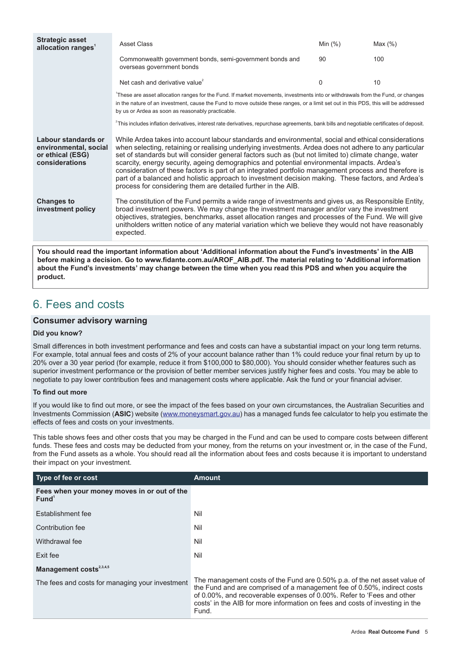| <b>Strategic asset</b><br>allocation ranges <sup>1</sup>                           | <b>Asset Class</b>                                                                                                                                                                                                                                                                                                                                                                                                                                                                                                                                                                                                                                                                                     | Min $(%)$ | Max $(\%)$ |
|------------------------------------------------------------------------------------|--------------------------------------------------------------------------------------------------------------------------------------------------------------------------------------------------------------------------------------------------------------------------------------------------------------------------------------------------------------------------------------------------------------------------------------------------------------------------------------------------------------------------------------------------------------------------------------------------------------------------------------------------------------------------------------------------------|-----------|------------|
|                                                                                    | Commonwealth government bonds, semi-government bonds and<br>overseas government bonds                                                                                                                                                                                                                                                                                                                                                                                                                                                                                                                                                                                                                  | 90        | 100        |
|                                                                                    | Net cash and derivative value <sup>2</sup>                                                                                                                                                                                                                                                                                                                                                                                                                                                                                                                                                                                                                                                             | $\Omega$  | 10         |
|                                                                                    | These are asset allocation ranges for the Fund. If market movements, investments into or withdrawals from the Fund, or changes<br>in the nature of an investment, cause the Fund to move outside these ranges, or a limit set out in this PDS, this will be addressed<br>by us or Ardea as soon as reasonably practicable.                                                                                                                                                                                                                                                                                                                                                                             |           |            |
|                                                                                    | <sup>2</sup> This includes inflation derivatives, interest rate derivatives, repurchase agreements, bank bills and negotiable certificates of deposit.                                                                                                                                                                                                                                                                                                                                                                                                                                                                                                                                                 |           |            |
| Labour standards or<br>environmental, social<br>or ethical (ESG)<br>considerations | While Ardea takes into account labour standards and environmental, social and ethical considerations<br>when selecting, retaining or realising underlying investments. Ardea does not adhere to any particular<br>set of standards but will consider general factors such as (but not limited to) climate change, water<br>scarcity, energy security, ageing demographics and potential environmental impacts. Ardea's<br>consideration of these factors is part of an integrated portfolio management process and therefore is<br>part of a balanced and holistic approach to investment decision making. These factors, and Ardea's<br>process for considering them are detailed further in the AIB. |           |            |
| <b>Changes to</b><br>investment policy                                             | The constitution of the Fund permits a wide range of investments and gives us, as Responsible Entity,<br>broad investment powers. We may change the investment manager and/or vary the investment<br>objectives, strategies, benchmarks, asset allocation ranges and processes of the Fund. We will give<br>unitholders written notice of any material variation which we believe they would not have reasonably<br>expected.                                                                                                                                                                                                                                                                          |           |            |

**You should read the important information about 'Additional information about the Fund's investments' in the AIB before making a decision. Go to www.fidante.com.au/AROF\_AIB.pdf. The material relating to 'Additional information** about the Fund's investments' may change between the time when you read this PDS and when you acquire the **product.**

# 6. Fees and costs

### **Consumer advisory warning**

### **Did you know?**

Small differences in both investment performance and fees and costs can have a substantial impact on your long term returns. For example, total annual fees and costs of 2% of your account balance rather than 1% could reduce your final return by up to 20% over a 30 year period (for example, reduce it from \$100,000 to \$80,000). You should consider whether features such as superior investment performance or the provision of better member services justify higher fees and costs. You may be able to negotiate to pay lower contribution fees and management costs where applicable. Ask the fund or your financial adviser.

### **To find out more**

If you would like to find out more, or see the impact of the fees based on your own circumstances, the Australian Securities and Investments Commission (**ASIC**) website (www.moneysmart.gov.au) has a managed funds fee calculator to help you estimate the effects of fees and costs on your investments.

This table shows fees and other costs that you may be charged in the Fund and can be used to compare costs between different funds. These fees and costs may be deducted from your money, from the returns on your investment or, in the case of the Fund, from the Fund assets as a whole. You should read all the information about fees and costs because it is important to understand their impact on your investment.

| Type of fee or cost                                              | <b>Amount</b>                                                                                                                                                                                                                                                                                                          |
|------------------------------------------------------------------|------------------------------------------------------------------------------------------------------------------------------------------------------------------------------------------------------------------------------------------------------------------------------------------------------------------------|
| Fees when your money moves in or out of the<br>Fund <sup>1</sup> |                                                                                                                                                                                                                                                                                                                        |
| Establishment fee                                                | Nil                                                                                                                                                                                                                                                                                                                    |
| Contribution fee                                                 | Nil                                                                                                                                                                                                                                                                                                                    |
| Withdrawal fee                                                   | Nil                                                                                                                                                                                                                                                                                                                    |
| Exit fee                                                         | Nil                                                                                                                                                                                                                                                                                                                    |
| Management costs <sup>2,3,4,5</sup>                              |                                                                                                                                                                                                                                                                                                                        |
| The fees and costs for managing your investment                  | The management costs of the Fund are 0.50% p.a. of the net asset value of<br>the Fund and are comprised of a management fee of 0.50%, indirect costs<br>of 0.00%, and recoverable expenses of 0.00%. Refer to 'Fees and other<br>costs' in the AIB for more information on fees and costs of investing in the<br>Fund. |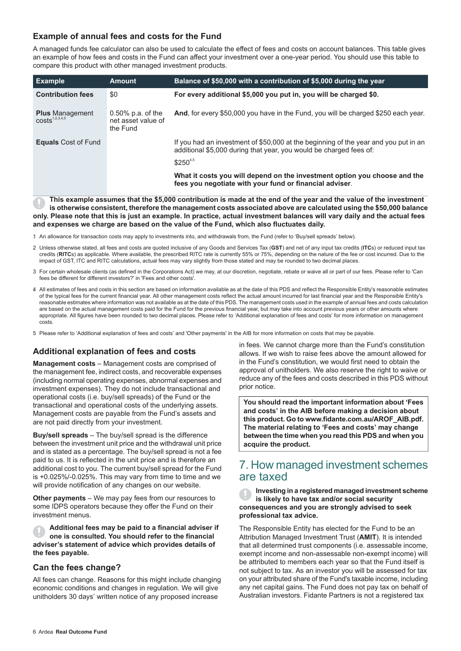### **Example of annual fees and costs for the Fund**

A managed funds fee calculator can also be used to calculate the effect of fees and costs on account balances. This table gives an example of how fees and costs in the Fund can affect your investment over a one-year period. You should use this table to compare this product with other managed investment products.

| <b>Example</b>                                       | <b>Amount</b>                                          | Balance of \$50,000 with a contribution of \$5,000 during the year                                                                                                        |
|------------------------------------------------------|--------------------------------------------------------|---------------------------------------------------------------------------------------------------------------------------------------------------------------------------|
| <b>Contribution fees</b>                             | \$0                                                    | For every additional \$5,000 you put in, you will be charged \$0.                                                                                                         |
| <b>Plus</b> Management<br>costs <sup>1,2,3,4,5</sup> | $0.50\%$ p.a. of the<br>net asset value of<br>the Fund | And, for every \$50,000 you have in the Fund, you will be charged \$250 each year.                                                                                        |
| <b>Equals</b> Cost of Fund                           |                                                        | If you had an investment of \$50,000 at the beginning of the year and you put in an<br>additional \$5,000 during that year, you would be charged fees of:<br>$$250^{4,5}$ |
|                                                      |                                                        | What it costs you will depend on the investment option you choose and the<br>fees you negotiate with your fund or financial adviser.                                      |

This example assumes that the \$5,000 contribution is made at the end of the year and the value of the investment **is otherwise consistent, therefore the management costs associated above are calculated using the \$50,000 balance** only. Please note that this is just an example. In practice, actual investment balances will vary daily and the actual fees **and expenses we charge are based on the value of the Fund, which also fluctuates daily.**

- 1. An allowance for transaction costs may apply to investments into, and withdrawals from, the Fund (refer to 'Buy/sell spreads' below).
- 2. Unless otherwise stated, all fees and costs are quoted inclusive of any Goods and Services Tax (**GST**) and net of any input tax credits (**ITC**s) or reduced input tax credits (**RITC**s) as applicable. Where available, the prescribed RITC rate is currently 55% or 75%, depending on the nature of the fee or cost incurred. Due to the impact of GST, ITC and RITC calculations, actual fees may vary slightly from those stated and may be rounded to two decimal places.
- 3. For certain wholesale clients (as defined in the Corporations Act) we may, at our discretion, negotiate, rebate or waive all or part of our fees. Please refer to 'Can fees be different for different investors?' in 'Fees and other costs'.
- 4. All estimates of fees and costs in this section are based on information available as at the date of this PDS and reflect the Responsible Entity's reasonable estimates of the typical fees for the current financial year. All other management costs reflect the actual amount incurred for last financial year and the Responsible Entity's reasonable estimates where information was not available as at the date of this PDS. The management costs used in the example of annual fees and costs calculation are based on the actual management costs paid for the Fund for the previous financial year, but may take into account previous years or other amounts where appropriate. All figures have been rounded to two decimal places. Please refer to 'Additional explanation of fees and costs' for more information on management costs.

5. Please refer to 'Additional explanation of fees and costs' and 'Other payments' in the AIB for more information on costs that may be payable.

### **Additional explanation of fees and costs**

**Management costs** – Management costs are comprised of the management fee, indirect costs, and recoverable expenses (including normal operating expenses, abnormal expenses and investment expenses). They do not include transactional and operational costs (i.e. buy/sell spreads) of the Fund or the transactional and operational costs of the underlying assets. Management costs are payable from the Fund's assets and are not paid directly from your investment.

**Buy/sell spreads** – The buy/sell spread is the difference between the investment unit price and the withdrawal unit price and is stated as a percentage. The buy/sell spread is not a fee paid to us. It is reflected in the unit price and is therefore an additional cost to you. The current buy/sell spread for the Fund is +0.025%/-0.025%. This may vary from time to time and we will provide notification of any changes on our website.

**Other payments** – We may pay fees from our resources to some IDPS operators because they offer the Fund on their investment menus.

**Additional fees may be paid to a financial adviser if one is consulted. You should refer to the financial adviser's statement of advice which provides details of the fees payable.**

### **Can the fees change?**

All fees can change. Reasons for this might include changing economic conditions and changes in regulation. We will give unitholders 30 days' written notice of any proposed increase

in fees. We cannot charge more than the Fund's constitution allows. If we wish to raise fees above the amount allowed for in the Fund's constitution, we would first need to obtain the approval of unitholders. We also reserve the right to waive or reduce any of the fees and costs described in this PDS without prior notice.

**You should read the important information about 'Fees and costs' in the AIB before making a decision about this product. Go to www.fidante.com.au/AROF\_AIB.pdf. The material relating to 'Fees and costs' may change between the time when you read this PDS and when you acquire the product.**

# 7. How managed investment schemes are taxed

**Investing in a registered managed investment scheme is likely to have tax and/or social security consequences and you are strongly advised to seek professional tax advice.**

The Responsible Entity has elected for the Fund to be an Attribution Managed Investment Trust (**AMIT**). It is intended that all determined trust components (i.e. assessable income, exempt income and non-assessable non-exempt income) will be attributed to members each year so that the Fund itself is not subject to tax. As an investor you will be assessed for tax on your attributed share of the Fund's taxable income, including any net capital gains. The Fund does not pay tax on behalf of Australian investors. Fidante Partners is not a registered tax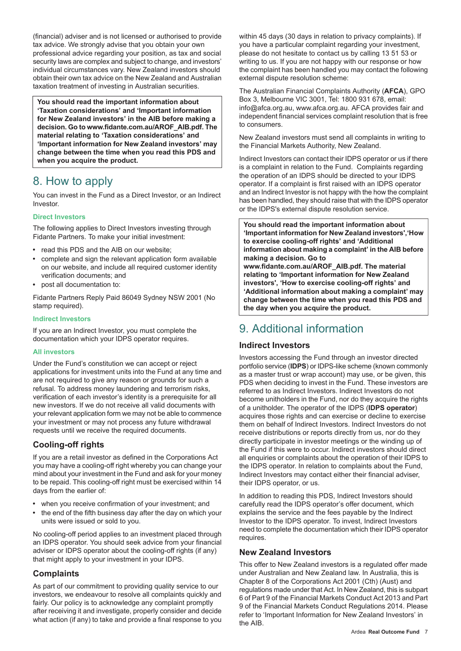(financial) adviser and is not licensed or authorised to provide tax advice. We strongly advise that you obtain your own professional advice regarding your position, as tax and social security laws are complex and subject to change, and investors' individual circumstances vary. New Zealand investors should obtain their own tax advice on the New Zealand and Australian taxation treatment of investing in Australian securities.

**You should read the important information about 'Taxation considerations' and 'Important information for New Zealand investors' in the AIB before making a decision. Go to www.fidante.com.au/AROF\_AIB.pdf. The material relating to 'Taxation considerations' and 'Important information for New Zealand investors' may change between the time when you read this PDS and when you acquire the product.**

# 8. How to apply

You can invest in the Fund as a Direct Investor, or an Indirect Investor.

### **Direct Investors**

The following applies to Direct Investors investing through Fidante Partners. To make your initial investment:

- read this PDS and the AIB on our website;
- complete and sign the relevant application form available on our website, and include all required customer identity verification documents; and
- post all documentation to:

Fidante Partners Reply Paid 86049 Sydney NSW 2001 (No stamp required).

### **Indirect Investors**

If you are an Indirect Investor, you must complete the documentation which your IDPS operator requires.

### **All investors**

Under the Fund's constitution we can accept or reject applications for investment units into the Fund at any time and are not required to give any reason or grounds for such a refusal. To address money laundering and terrorism risks, verification of each investor's identity is a prerequisite for all new investors. If we do not receive all valid documents with your relevant application form we may not be able to commence your investment or may not process any future withdrawal requests until we receive the required documents.

### **Cooling-off rights**

If you are a retail investor as defined in the Corporations Act you may have a cooling-off right whereby you can change your mind about your investment in the Fund and ask for your money to be repaid. This cooling-off right must be exercised within 14 days from the earlier of:

- when you receive confirmation of your investment; and
- the end of the fifth business day after the day on which your units were issued or sold to you.

No cooling-off period applies to an investment placed through an IDPS operator. You should seek advice from your financial adviser or IDPS operator about the cooling-off rights (if any) that might apply to your investment in your IDPS.

### **Complaints**

As part of our commitment to providing quality service to our investors, we endeavour to resolve all complaints quickly and fairly. Our policy is to acknowledge any complaint promptly after receiving it and investigate, properly consider and decide what action (if any) to take and provide a final response to you within 45 days (30 days in relation to privacy complaints). If you have a particular complaint regarding your investment, please do not hesitate to contact us by calling 13 51 53 or writing to us. If you are not happy with our response or how the complaint has been handled you may contact the following external dispute resolution scheme:

The Australian Financial Complaints Authority (**AFCA**), GPO Box 3, Melbourne VIC 3001, Tel: 1800 931 678, email: info@afca.org.au, www.afca.org.au. AFCA provides fair and independent financial services complaint resolution that is free to consumers.

New Zealand investors must send all complaints in writing to the Financial Markets Authority, New Zealand.

Indirect Investors can contact their IDPS operator or us if there is a complaint in relation to the Fund. Complaints regarding the operation of an IDPS should be directed to your IDPS operator. If a complaint is first raised with an IDPS operator and an Indirect Investor is not happy with the how the complaint has been handled, they should raise that with the IDPS operator or the IDPS's external dispute resolution service.

**You should read the important information about 'Important information for New Zealand investors','How to exercise cooling-off rights' and 'Additional information about making a complaint' in the AIB before making a decision. Go to**

**www.fidante.com.au/AROF\_AIB.pdf. The material relating to 'Important information for New Zealand investors', 'How to exercise cooling-off rights' and 'Additional information about making a complaint' may change between the time when you read this PDS and the day when you acquire the product.**

# 9. Additional information

### **Indirect Investors**

Investors accessing the Fund through an investor directed portfolio service (**IDPS**) or IDPS-like scheme (known commonly as a master trust or wrap account) may use, or be given, this PDS when deciding to invest in the Fund. These investors are referred to as Indirect Investors. Indirect Investors do not become unitholders in the Fund, nor do they acquire the rights of a unitholder. The operator of the IDPS (**IDPS operator**) acquires those rights and can exercise or decline to exercise them on behalf of Indirect Investors. Indirect Investors do not receive distributions or reports directly from us, nor do they directly participate in investor meetings or the winding up of the Fund if this were to occur. Indirect investors should direct all enquiries or complaints about the operation of their IDPS to the IDPS operator. In relation to complaints about the Fund, Indirect Investors may contact either their financial adviser, their IDPS operator, or us.

In addition to reading this PDS, Indirect Investors should carefully read the IDPS operator's offer document, which explains the service and the fees payable by the Indirect Investor to the IDPS operator. To invest, Indirect Investors need to complete the documentation which their IDPS operator requires.

### **New Zealand Investors**

This offer to New Zealand investors is a regulated offer made under Australian and New Zealand law. In Australia, this is Chapter 8 of the Corporations Act 2001 (Cth) (Aust) and regulations made under that Act. In New Zealand, this is subpart 6 of Part 9 of the Financial Markets Conduct Act 2013 and Part 9 of the Financial Markets Conduct Regulations 2014. Please refer to 'Important Information for New Zealand Investors' in the AIB.